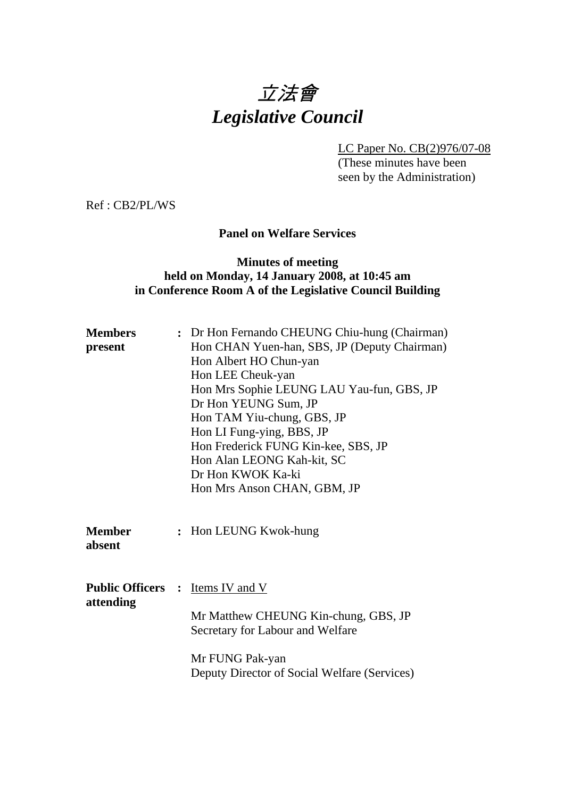# 立法會 *Legislative Council*

LC Paper No. CB(2)976/07-08

(These minutes have been seen by the Administration)

Ref : CB2/PL/WS

## **Panel on Welfare Services**

## **Minutes of meeting held on Monday, 14 January 2008, at 10:45 am in Conference Room A of the Legislative Council Building**

| <b>Members</b><br>present             | : Dr Hon Fernando CHEUNG Chiu-hung (Chairman)<br>Hon CHAN Yuen-han, SBS, JP (Deputy Chairman)<br>Hon Albert HO Chun-yan<br>Hon LEE Cheuk-yan<br>Hon Mrs Sophie LEUNG LAU Yau-fun, GBS, JP<br>Dr Hon YEUNG Sum, JP<br>Hon TAM Yiu-chung, GBS, JP<br>Hon LI Fung-ying, BBS, JP<br>Hon Frederick FUNG Kin-kee, SBS, JP<br>Hon Alan LEONG Kah-kit, SC<br>Dr Hon KWOK Ka-ki<br>Hon Mrs Anson CHAN, GBM, JP |
|---------------------------------------|-------------------------------------------------------------------------------------------------------------------------------------------------------------------------------------------------------------------------------------------------------------------------------------------------------------------------------------------------------------------------------------------------------|
| <b>Member</b><br>absent               | : Hon LEUNG Kwok-hung                                                                                                                                                                                                                                                                                                                                                                                 |
| <b>Public Officers :</b><br>attending | <u>Items IV and V</u><br>Mr Matthew CHEUNG Kin-chung, GBS, JP<br>Secretary for Labour and Welfare<br>Mr FUNG Pak-yan<br>Deputy Director of Social Welfare (Services)                                                                                                                                                                                                                                  |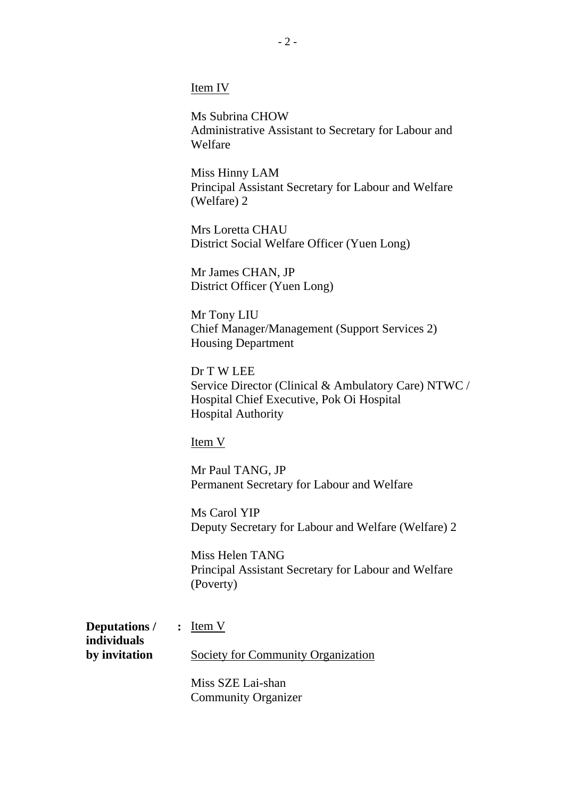Item IV

Ms Subrina CHOW Administrative Assistant to Secretary for Labour and Welfare

Miss Hinny LAM Principal Assistant Secretary for Labour and Welfare (Welfare) 2

Mrs Loretta CHAU District Social Welfare Officer (Yuen Long)

Mr James CHAN, JP District Officer (Yuen Long)

Mr Tony LIU Chief Manager/Management (Support Services 2) Housing Department

Dr T W LEE Service Director (Clinical & Ambulatory Care) NTWC / Hospital Chief Executive, Pok Oi Hospital Hospital Authority

Item V

Mr Paul TANG, JP Permanent Secretary for Labour and Welfare

Ms Carol YIP Deputy Secretary for Labour and Welfare (Welfare) 2

Miss Helen TANG Principal Assistant Secretary for Labour and Welfare (Poverty)

| <b>Deputations</b> / : Item V |                                    |
|-------------------------------|------------------------------------|
| individuals                   |                                    |
| by invitation                 | Society for Community Organization |
|                               |                                    |

Miss SZE Lai-shan Community Organizer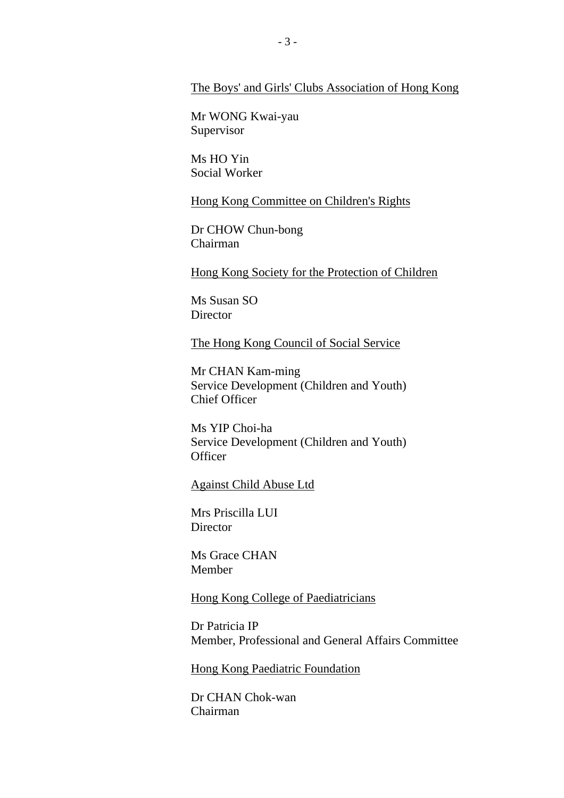#### The Boys' and Girls' Clubs Association of Hong Kong

Mr WONG Kwai-yau Supervisor

Ms HO Yin Social Worker

Hong Kong Committee on Children's Rights

Dr CHOW Chun-bong Chairman

Hong Kong Society for the Protection of Children

Ms Susan SO **Director** 

The Hong Kong Council of Social Service

Mr CHAN Kam-ming Service Development (Children and Youth) Chief Officer

Ms YIP Choi-ha Service Development (Children and Youth) **Officer** 

Against Child Abuse Ltd

Mrs Priscilla LUI **Director** 

Ms Grace CHAN Member

Hong Kong College of Paediatricians

Dr Patricia IP Member, Professional and General Affairs Committee

Hong Kong Paediatric Foundation

Dr CHAN Chok-wan Chairman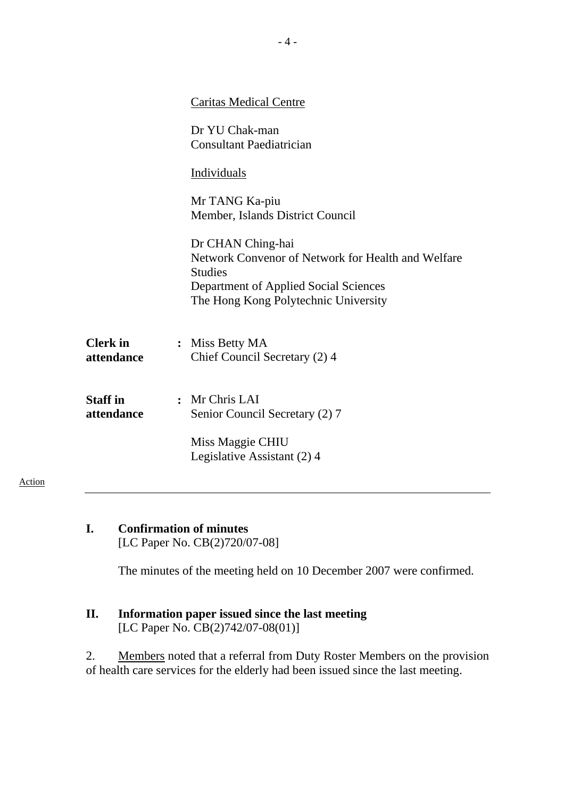|                               | <b>Caritas Medical Centre</b>                                                                                                                                              |
|-------------------------------|----------------------------------------------------------------------------------------------------------------------------------------------------------------------------|
|                               | Dr YU Chak-man<br><b>Consultant Paediatrician</b>                                                                                                                          |
|                               | Individuals                                                                                                                                                                |
|                               | Mr TANG Ka-piu<br>Member, Islands District Council                                                                                                                         |
|                               | Dr CHAN Ching-hai<br>Network Convenor of Network for Health and Welfare<br><b>Studies</b><br>Department of Applied Social Sciences<br>The Hong Kong Polytechnic University |
| <b>Clerk</b> in<br>attendance | : Miss Betty MA<br>Chief Council Secretary (2) 4                                                                                                                           |
| <b>Staff</b> in<br>attendance | : Mr Chris LAI<br>Senior Council Secretary (2) 7                                                                                                                           |
|                               | Miss Maggie CHIU<br>Legislative Assistant (2) 4                                                                                                                            |

**I. Confirmation of minutes**  [LC Paper No. CB(2)720/07-08]

Action

The minutes of the meeting held on 10 December 2007 were confirmed.

**II. Information paper issued since the last meeting**  [LC Paper No. CB(2)742/07-08(01)]

2. Members noted that a referral from Duty Roster Members on the provision of health care services for the elderly had been issued since the last meeting.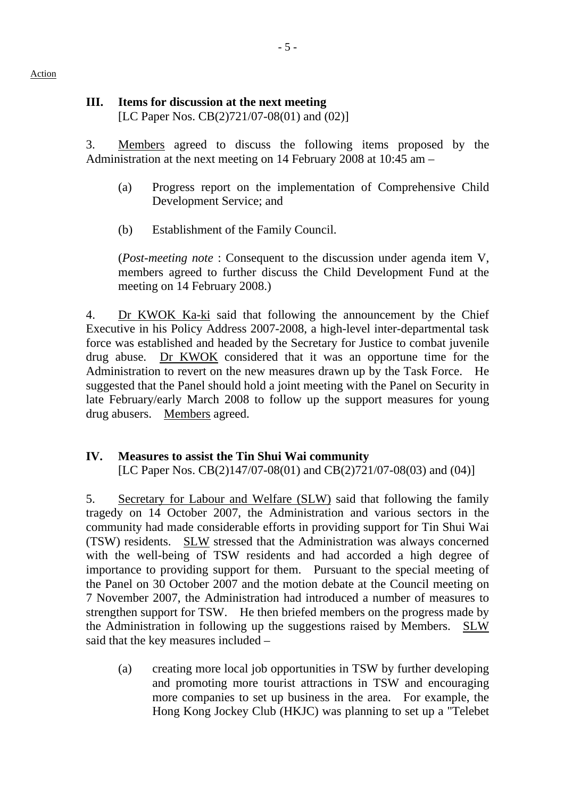# **III. Items for discussion at the next meeting**

[LC Paper Nos. CB(2)721/07-08(01) and (02)]

3. Members agreed to discuss the following items proposed by the Administration at the next meeting on 14 February 2008 at 10:45 am –

- (a) Progress report on the implementation of Comprehensive Child Development Service; and
- (b) Establishment of the Family Council.

(*Post-meeting note* : Consequent to the discussion under agenda item V, members agreed to further discuss the Child Development Fund at the meeting on 14 February 2008.)

4. Dr KWOK Ka-ki said that following the announcement by the Chief Executive in his Policy Address 2007-2008, a high-level inter-departmental task force was established and headed by the Secretary for Justice to combat juvenile drug abuse. Dr KWOK considered that it was an opportune time for the Administration to revert on the new measures drawn up by the Task Force. He suggested that the Panel should hold a joint meeting with the Panel on Security in late February/early March 2008 to follow up the support measures for young drug abusers. Members agreed.

# **IV. Measures to assist the Tin Shui Wai community**

[LC Paper Nos. CB(2)147/07-08(01) and CB(2)721/07-08(03) and (04)]

5. Secretary for Labour and Welfare (SLW) said that following the family tragedy on 14 October 2007, the Administration and various sectors in the community had made considerable efforts in providing support for Tin Shui Wai (TSW) residents. SLW stressed that the Administration was always concerned with the well-being of TSW residents and had accorded a high degree of importance to providing support for them. Pursuant to the special meeting of the Panel on 30 October 2007 and the motion debate at the Council meeting on 7 November 2007, the Administration had introduced a number of measures to strengthen support for TSW. He then briefed members on the progress made by the Administration in following up the suggestions raised by Members. SLW said that the key measures included –

(a) creating more local job opportunities in TSW by further developing and promoting more tourist attractions in TSW and encouraging more companies to set up business in the area. For example, the Hong Kong Jockey Club (HKJC) was planning to set up a "Telebet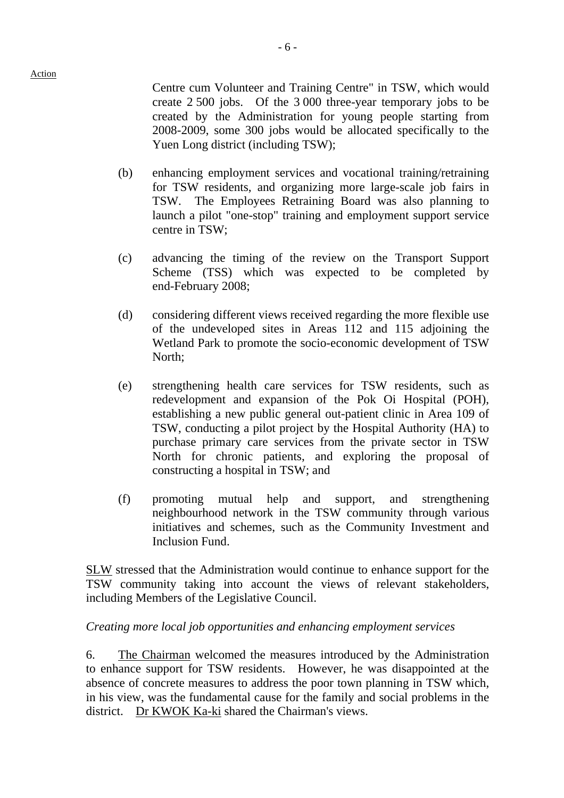Centre cum Volunteer and Training Centre" in TSW, which would create 2 500 jobs. Of the 3,000 three-year temporary jobs to be created by the Administration for young people starting from 2008-2009, some 300 jobs would be allocated specifically to the Yuen Long district (including TSW);

- (b) enhancing employment services and vocational training/retraining for TSW residents, and organizing more large-scale job fairs in TSW. The Employees Retraining Board was also planning to launch a pilot "one-stop" training and employment support service centre in TSW;
- (c) advancing the timing of the review on the Transport Support Scheme (TSS) which was expected to be completed by end-February 2008;
- (d) considering different views received regarding the more flexible use of the undeveloped sites in Areas 112 and 115 adjoining the Wetland Park to promote the socio-economic development of TSW North;
- (e) strengthening health care services for TSW residents, such as redevelopment and expansion of the Pok Oi Hospital (POH), establishing a new public general out-patient clinic in Area 109 of TSW, conducting a pilot project by the Hospital Authority (HA) to purchase primary care services from the private sector in TSW North for chronic patients, and exploring the proposal of constructing a hospital in TSW; and
- (f) promoting mutual help and support, and strengthening neighbourhood network in the TSW community through various initiatives and schemes, such as the Community Investment and Inclusion Fund.

SLW stressed that the Administration would continue to enhance support for the TSW community taking into account the views of relevant stakeholders, including Members of the Legislative Council.

## *Creating more local job opportunities and enhancing employment services*

6. The Chairman welcomed the measures introduced by the Administration to enhance support for TSW residents. However, he was disappointed at the absence of concrete measures to address the poor town planning in TSW which, in his view, was the fundamental cause for the family and social problems in the district. Dr KWOK Ka-ki shared the Chairman's views.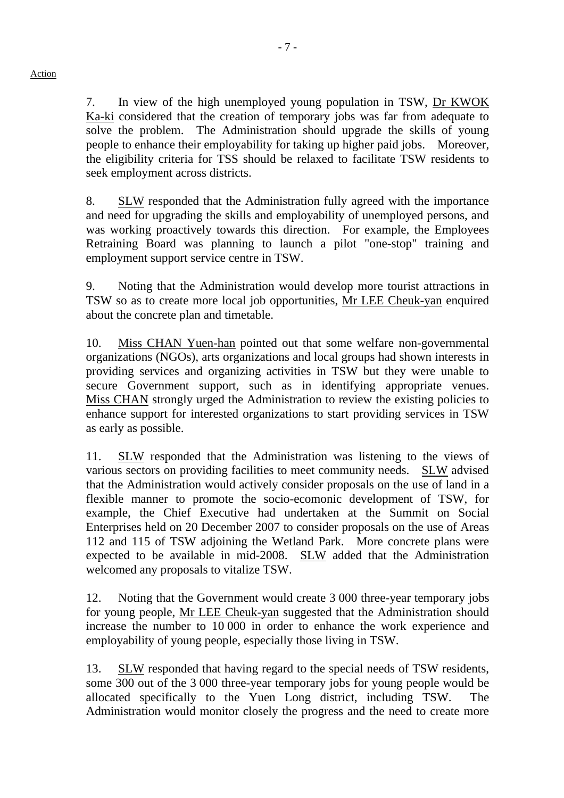7. In view of the high unemployed young population in TSW, Dr KWOK Ka-ki considered that the creation of temporary jobs was far from adequate to solve the problem. The Administration should upgrade the skills of young people to enhance their employability for taking up higher paid jobs. Moreover, the eligibility criteria for TSS should be relaxed to facilitate TSW residents to seek employment across districts.

8. SLW responded that the Administration fully agreed with the importance and need for upgrading the skills and employability of unemployed persons, and was working proactively towards this direction. For example, the Employees Retraining Board was planning to launch a pilot "one-stop" training and employment support service centre in TSW.

9. Noting that the Administration would develop more tourist attractions in TSW so as to create more local job opportunities, Mr LEE Cheuk-yan enquired about the concrete plan and timetable.

10. Miss CHAN Yuen-han pointed out that some welfare non-governmental organizations (NGOs), arts organizations and local groups had shown interests in providing services and organizing activities in TSW but they were unable to secure Government support, such as in identifying appropriate venues. Miss CHAN strongly urged the Administration to review the existing policies to enhance support for interested organizations to start providing services in TSW as early as possible.

11. SLW responded that the Administration was listening to the views of various sectors on providing facilities to meet community needs. SLW advised that the Administration would actively consider proposals on the use of land in a flexible manner to promote the socio-ecomonic development of TSW, for example, the Chief Executive had undertaken at the Summit on Social Enterprises held on 20 December 2007 to consider proposals on the use of Areas 112 and 115 of TSW adjoining the Wetland Park. More concrete plans were expected to be available in mid-2008. SLW added that the Administration welcomed any proposals to vitalize TSW.

12. Noting that the Government would create 3 000 three-year temporary jobs for young people, Mr LEE Cheuk-yan suggested that the Administration should increase the number to 10 000 in order to enhance the work experience and employability of young people, especially those living in TSW.

13. SLW responded that having regard to the special needs of TSW residents, some 300 out of the 3 000 three-year temporary jobs for young people would be allocated specifically to the Yuen Long district, including TSW. The Administration would monitor closely the progress and the need to create more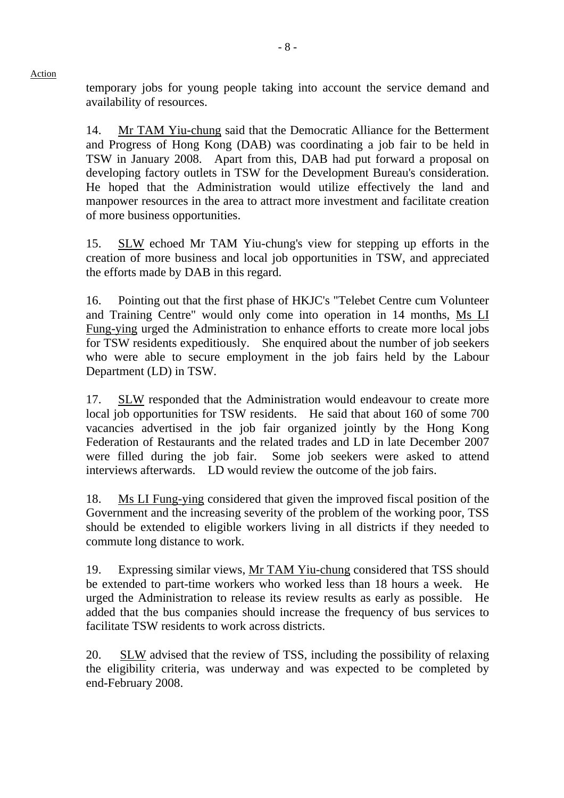temporary jobs for young people taking into account the service demand and availability of resources.

14. Mr TAM Yiu-chung said that the Democratic Alliance for the Betterment and Progress of Hong Kong (DAB) was coordinating a job fair to be held in TSW in January 2008. Apart from this, DAB had put forward a proposal on developing factory outlets in TSW for the Development Bureau's consideration. He hoped that the Administration would utilize effectively the land and manpower resources in the area to attract more investment and facilitate creation of more business opportunities.

15. SLW echoed Mr TAM Yiu-chung's view for stepping up efforts in the creation of more business and local job opportunities in TSW, and appreciated the efforts made by DAB in this regard.

16. Pointing out that the first phase of HKJC's "Telebet Centre cum Volunteer and Training Centre" would only come into operation in 14 months, Ms LI Fung-ying urged the Administration to enhance efforts to create more local jobs for TSW residents expeditiously. She enquired about the number of job seekers who were able to secure employment in the job fairs held by the Labour Department (LD) in TSW.

17. SLW responded that the Administration would endeavour to create more local job opportunities for TSW residents. He said that about 160 of some 700 vacancies advertised in the job fair organized jointly by the Hong Kong Federation of Restaurants and the related trades and LD in late December 2007 were filled during the job fair. Some job seekers were asked to attend interviews afterwards. LD would review the outcome of the job fairs.

18. Ms LI Fung-ying considered that given the improved fiscal position of the Government and the increasing severity of the problem of the working poor, TSS should be extended to eligible workers living in all districts if they needed to commute long distance to work.

19. Expressing similar views, Mr TAM Yiu-chung considered that TSS should be extended to part-time workers who worked less than 18 hours a week. He urged the Administration to release its review results as early as possible. He added that the bus companies should increase the frequency of bus services to facilitate TSW residents to work across districts.

20. SLW advised that the review of TSS, including the possibility of relaxing the eligibility criteria, was underway and was expected to be completed by end-February 2008.

#### Action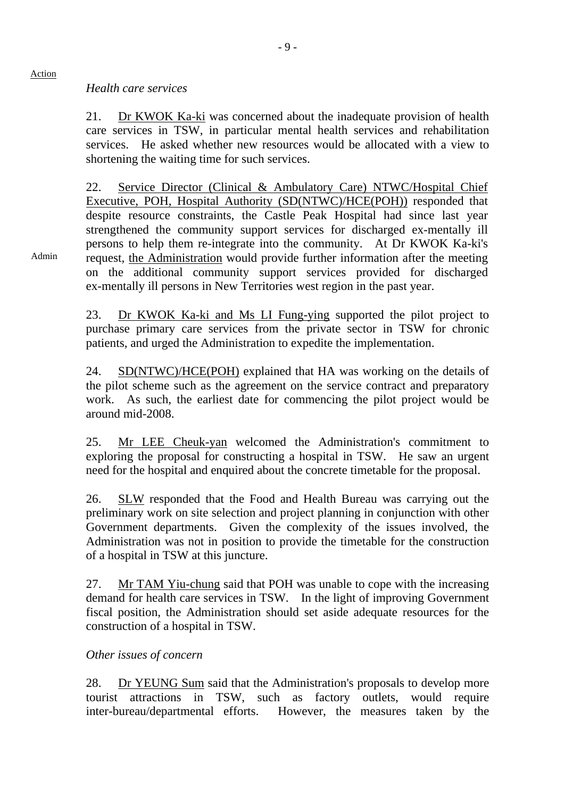#### *Health care services*

Action

Admin

21. Dr KWOK Ka-ki was concerned about the inadequate provision of health care services in TSW, in particular mental health services and rehabilitation services. He asked whether new resources would be allocated with a view to shortening the waiting time for such services.

22. Service Director (Clinical & Ambulatory Care) NTWC/Hospital Chief Executive, POH, Hospital Authority (SD(NTWC)/HCE(POH)) responded that despite resource constraints, the Castle Peak Hospital had since last year strengthened the community support services for discharged ex-mentally ill persons to help them re-integrate into the community. At Dr KWOK Ka-ki's request, the Administration would provide further information after the meeting on the additional community support services provided for discharged ex-mentally ill persons in New Territories west region in the past year.

23. Dr KWOK Ka-ki and Ms LI Fung-ying supported the pilot project to purchase primary care services from the private sector in TSW for chronic patients, and urged the Administration to expedite the implementation.

24. SD(NTWC)/HCE(POH) explained that HA was working on the details of the pilot scheme such as the agreement on the service contract and preparatory work. As such, the earliest date for commencing the pilot project would be around mid-2008.

25. Mr LEE Cheuk-yan welcomed the Administration's commitment to exploring the proposal for constructing a hospital in TSW. He saw an urgent need for the hospital and enquired about the concrete timetable for the proposal.

26. SLW responded that the Food and Health Bureau was carrying out the preliminary work on site selection and project planning in conjunction with other Government departments. Given the complexity of the issues involved, the Administration was not in position to provide the timetable for the construction of a hospital in TSW at this juncture.

27. Mr TAM Yiu-chung said that POH was unable to cope with the increasing demand for health care services in TSW. In the light of improving Government fiscal position, the Administration should set aside adequate resources for the construction of a hospital in TSW.

#### *Other issues of concern*

28. Dr YEUNG Sum said that the Administration's proposals to develop more tourist attractions in TSW, such as factory outlets, would require inter-bureau/departmental efforts. However, the measures taken by the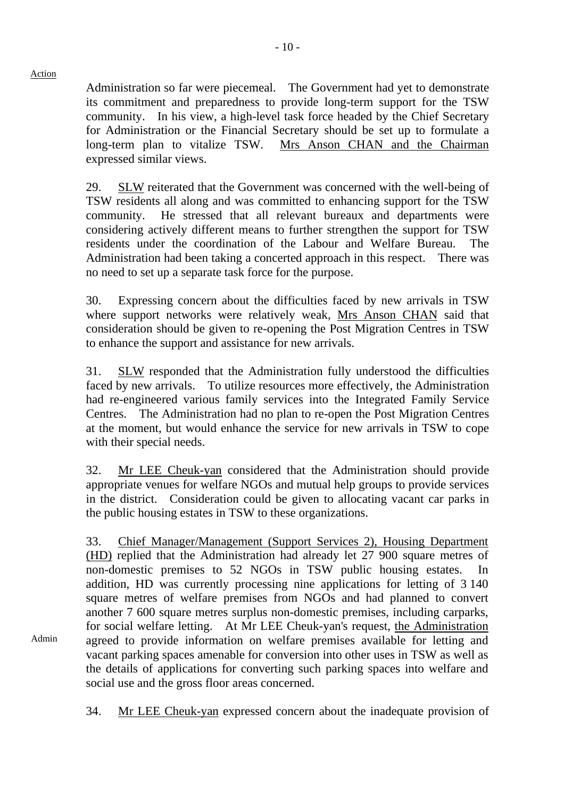Admin

Administration so far were piecemeal. The Government had yet to demonstrate its commitment and preparedness to provide long-term support for the TSW community. In his view, a high-level task force headed by the Chief Secretary for Administration or the Financial Secretary should be set up to formulate a long-term plan to vitalize TSW. Mrs Anson CHAN and the Chairman expressed similar views.

29. SLW reiterated that the Government was concerned with the well-being of TSW residents all along and was committed to enhancing support for the TSW community. He stressed that all relevant bureaux and departments were considering actively different means to further strengthen the support for TSW residents under the coordination of the Labour and Welfare Bureau. The Administration had been taking a concerted approach in this respect. There was no need to set up a separate task force for the purpose.

30. Expressing concern about the difficulties faced by new arrivals in TSW where support networks were relatively weak, Mrs Anson CHAN said that consideration should be given to re-opening the Post Migration Centres in TSW to enhance the support and assistance for new arrivals.

31. SLW responded that the Administration fully understood the difficulties faced by new arrivals. To utilize resources more effectively, the Administration had re-engineered various family services into the Integrated Family Service Centres. The Administration had no plan to re-open the Post Migration Centres at the moment, but would enhance the service for new arrivals in TSW to cope with their special needs.

32. Mr LEE Cheuk-yan considered that the Administration should provide appropriate venues for welfare NGOs and mutual help groups to provide services in the district. Consideration could be given to allocating vacant car parks in the public housing estates in TSW to these organizations.

33. Chief Manager/Management (Support Services 2), Housing Department (HD) replied that the Administration had already let 27 900 square metres of non-domestic premises to 52 NGOs in TSW public housing estates. In addition, HD was currently processing nine applications for letting of 3 140 square metres of welfare premises from NGOs and had planned to convert another 7 600 square metres surplus non-domestic premises, including carparks, for social welfare letting. At Mr LEE Cheuk-yan's request, the Administration agreed to provide information on welfare premises available for letting and vacant parking spaces amenable for conversion into other uses in TSW as well as the details of applications for converting such parking spaces into welfare and social use and the gross floor areas concerned.

34. Mr LEE Cheuk-yan expressed concern about the inadequate provision of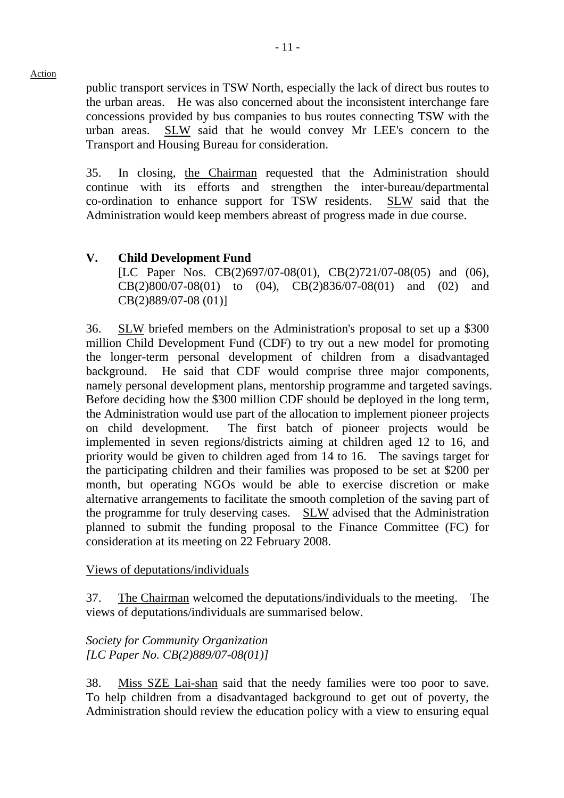public transport services in TSW North, especially the lack of direct bus routes to the urban areas. He was also concerned about the inconsistent interchange fare concessions provided by bus companies to bus routes connecting TSW with the urban areas. SLW said that he would convey Mr LEE's concern to the Transport and Housing Bureau for consideration.

35. In closing, the Chairman requested that the Administration should continue with its efforts and strengthen the inter-bureau/departmental co-ordination to enhance support for TSW residents. SLW said that the Administration would keep members abreast of progress made in due course.

# **V. Child Development Fund**

[LC Paper Nos. CB(2)697/07-08(01), CB(2)721/07-08(05) and (06), CB(2)800/07-08(01) to (04), CB(2)836/07-08(01) and (02) and CB(2)889/07-08 (01)]

36. SLW briefed members on the Administration's proposal to set up a \$300 million Child Development Fund (CDF) to try out a new model for promoting the longer-term personal development of children from a disadvantaged background. He said that CDF would comprise three major components, namely personal development plans, mentorship programme and targeted savings. Before deciding how the \$300 million CDF should be deployed in the long term, the Administration would use part of the allocation to implement pioneer projects on child development. The first batch of pioneer projects would be implemented in seven regions/districts aiming at children aged 12 to 16, and priority would be given to children aged from 14 to 16. The savings target for the participating children and their families was proposed to be set at \$200 per month, but operating NGOs would be able to exercise discretion or make alternative arrangements to facilitate the smooth completion of the saving part of the programme for truly deserving cases. SLW advised that the Administration planned to submit the funding proposal to the Finance Committee (FC) for consideration at its meeting on 22 February 2008.

#### Views of deputations/individuals

37. The Chairman welcomed the deputations/individuals to the meeting. The views of deputations/individuals are summarised below.

# *Society for Community Organization [LC Paper No. CB(2)889/07-08(01)]*

38. Miss SZE Lai-shan said that the needy families were too poor to save. To help children from a disadvantaged background to get out of poverty, the Administration should review the education policy with a view to ensuring equal

Action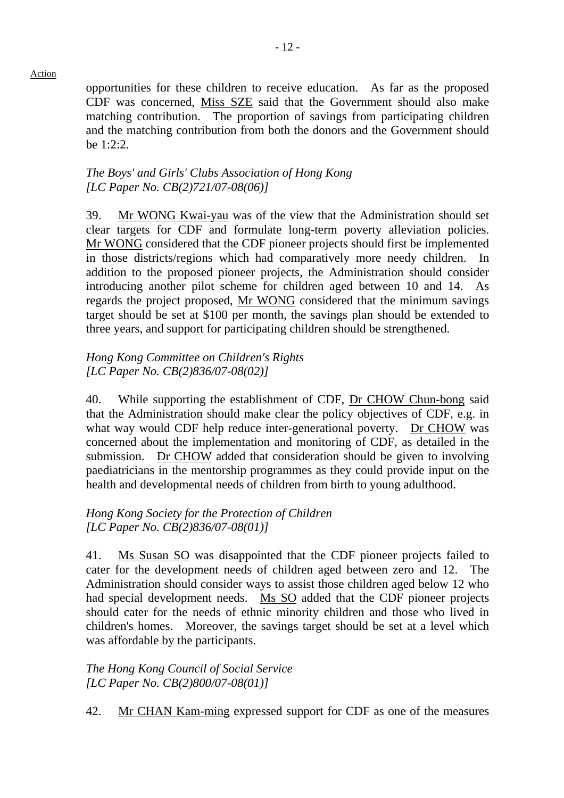opportunities for these children to receive education. As far as the proposed CDF was concerned, Miss SZE said that the Government should also make matching contribution. The proportion of savings from participating children and the matching contribution from both the donors and the Government should be 1:2:2.

#### *The Boys' and Girls' Clubs Association of Hong Kong [LC Paper No. CB(2)721/07-08(06)]*

39. Mr WONG Kwai-yau was of the view that the Administration should set clear targets for CDF and formulate long-term poverty alleviation policies. Mr WONG considered that the CDF pioneer projects should first be implemented in those districts/regions which had comparatively more needy children. addition to the proposed pioneer projects, the Administration should consider introducing another pilot scheme for children aged between 10 and 14. As regards the project proposed, Mr WONG considered that the minimum savings target should be set at \$100 per month, the savings plan should be extended to three years, and support for participating children should be strengthened.

#### *Hong Kong Committee on Children's Rights [LC Paper No. CB(2)836/07-08(02)]*

40. While supporting the establishment of CDF, Dr CHOW Chun-bong said that the Administration should make clear the policy objectives of CDF, e.g. in what way would CDF help reduce inter-generational poverty. Dr CHOW was concerned about the implementation and monitoring of CDF, as detailed in the submission. Dr CHOW added that consideration should be given to involving paediatricians in the mentorship programmes as they could provide input on the health and developmental needs of children from birth to young adulthood.

# *Hong Kong Society for the Protection of Children [LC Paper No. CB(2)836/07-08(01)]*

41. Ms Susan SO was disappointed that the CDF pioneer projects failed to cater for the development needs of children aged between zero and 12. The Administration should consider ways to assist those children aged below 12 who had special development needs. Ms SO added that the CDF pioneer projects should cater for the needs of ethnic minority children and those who lived in children's homes. Moreover, the savings target should be set at a level which was affordable by the participants.

## *The Hong Kong Council of Social Service [LC Paper No. CB(2)800/07-08(01)]*

42. Mr CHAN Kam-ming expressed support for CDF as one of the measures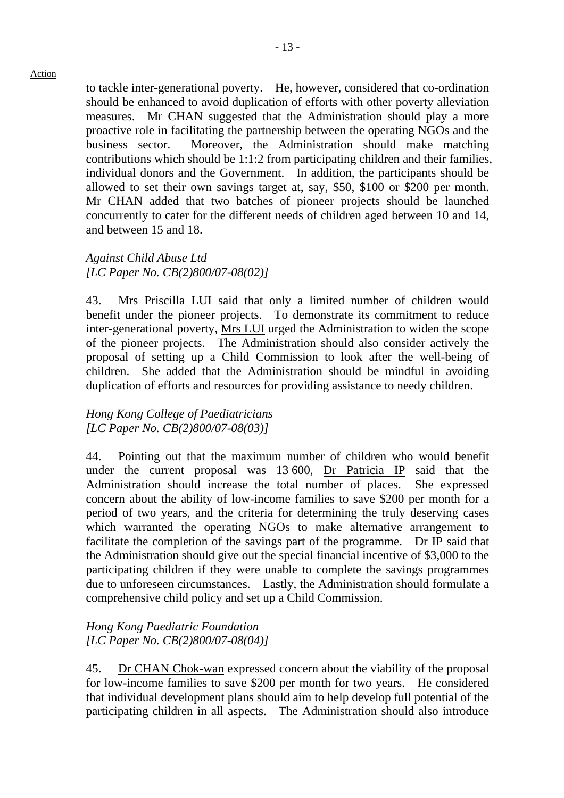to tackle inter-generational poverty. He, however, considered that co-ordination should be enhanced to avoid duplication of efforts with other poverty alleviation measures. Mr CHAN suggested that the Administration should play a more proactive role in facilitating the partnership between the operating NGOs and the business sector. Moreover, the Administration should make matching contributions which should be 1:1:2 from participating children and their families, individual donors and the Government. In addition, the participants should be allowed to set their own savings target at, say, \$50, \$100 or \$200 per month. Mr CHAN added that two batches of pioneer projects should be launched concurrently to cater for the different needs of children aged between 10 and 14, and between 15 and 18.

*Against Child Abuse Ltd [LC Paper No. CB(2)800/07-08(02)]* 

43. Mrs Priscilla LUI said that only a limited number of children would benefit under the pioneer projects. To demonstrate its commitment to reduce inter-generational poverty, Mrs LUI urged the Administration to widen the scope of the pioneer projects. The Administration should also consider actively the proposal of setting up a Child Commission to look after the well-being of children. She added that the Administration should be mindful in avoiding duplication of efforts and resources for providing assistance to needy children.

#### *Hong Kong College of Paediatricians [LC Paper No. CB(2)800/07-08(03)]*

44. Pointing out that the maximum number of children who would benefit under the current proposal was 13,600, Dr Patricia IP said that the Administration should increase the total number of places. She expressed concern about the ability of low-income families to save \$200 per month for a period of two years, and the criteria for determining the truly deserving cases which warranted the operating NGOs to make alternative arrangement to facilitate the completion of the savings part of the programme. Dr IP said that the Administration should give out the special financial incentive of \$3,000 to the participating children if they were unable to complete the savings programmes due to unforeseen circumstances. Lastly, the Administration should formulate a comprehensive child policy and set up a Child Commission.

*Hong Kong Paediatric Foundation [LC Paper No. CB(2)800/07-08(04)]* 

45. Dr CHAN Chok-wan expressed concern about the viability of the proposal for low-income families to save \$200 per month for two years. He considered that individual development plans should aim to help develop full potential of the participating children in all aspects. The Administration should also introduce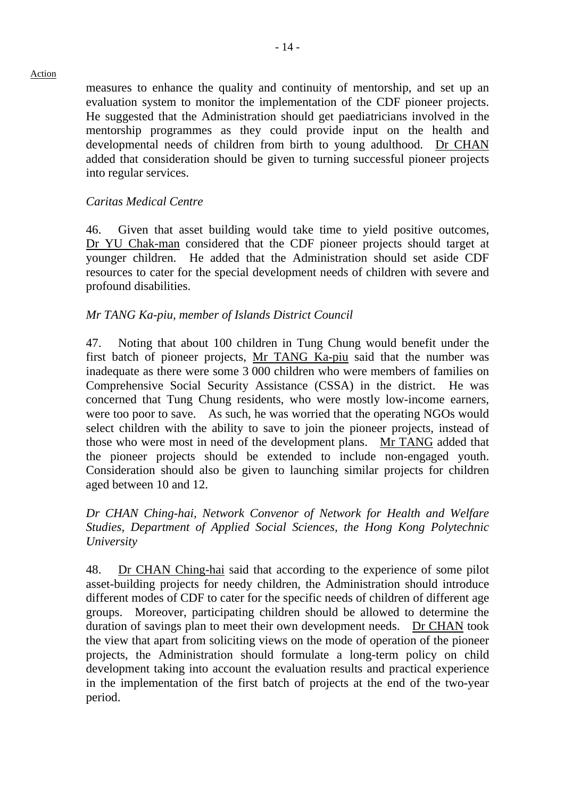measures to enhance the quality and continuity of mentorship, and set up an evaluation system to monitor the implementation of the CDF pioneer projects. He suggested that the Administration should get paediatricians involved in the mentorship programmes as they could provide input on the health and developmental needs of children from birth to young adulthood. Dr CHAN added that consideration should be given to turning successful pioneer projects into regular services.

#### *Caritas Medical Centre*

46. Given that asset building would take time to yield positive outcomes, Dr YU Chak-man considered that the CDF pioneer projects should target at younger children. He added that the Administration should set aside CDF resources to cater for the special development needs of children with severe and profound disabilities.

#### *Mr TANG Ka-piu, member of Islands District Council*

47. Noting that about 100 children in Tung Chung would benefit under the first batch of pioneer projects, Mr TANG Ka-piu said that the number was inadequate as there were some 3,000 children who were members of families on Comprehensive Social Security Assistance (CSSA) in the district. He was concerned that Tung Chung residents, who were mostly low-income earners, were too poor to save. As such, he was worried that the operating NGOs would select children with the ability to save to join the pioneer projects, instead of those who were most in need of the development plans. Mr TANG added that the pioneer projects should be extended to include non-engaged youth. Consideration should also be given to launching similar projects for children aged between 10 and 12.

## *Dr CHAN Ching-hai, Network Convenor of Network for Health and Welfare Studies, Department of Applied Social Sciences, the Hong Kong Polytechnic University*

48. Dr CHAN Ching-hai said that according to the experience of some pilot asset-building projects for needy children, the Administration should introduce different modes of CDF to cater for the specific needs of children of different age groups. Moreover, participating children should be allowed to determine the duration of savings plan to meet their own development needs. Dr CHAN took the view that apart from soliciting views on the mode of operation of the pioneer projects, the Administration should formulate a long-term policy on child development taking into account the evaluation results and practical experience in the implementation of the first batch of projects at the end of the two-year period.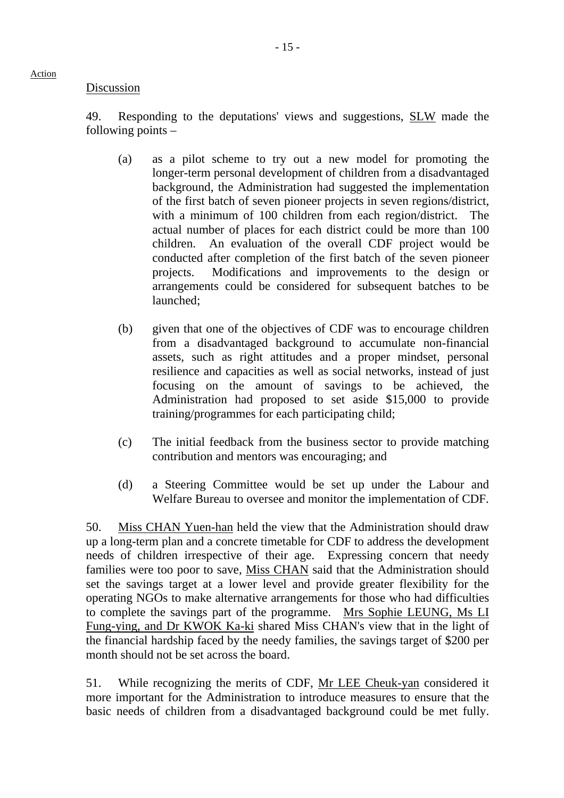#### Discussion

Action

49. Responding to the deputations' views and suggestions, **SLW** made the following points –

- (a) as a pilot scheme to try out a new model for promoting the longer-term personal development of children from a disadvantaged background, the Administration had suggested the implementation of the first batch of seven pioneer projects in seven regions/district, with a minimum of 100 children from each region/district. actual number of places for each district could be more than 100 children. An evaluation of the overall CDF project would be conducted after completion of the first batch of the seven pioneer projects. Modifications and improvements to the design or arrangements could be considered for subsequent batches to be launched;
- (b) given that one of the objectives of CDF was to encourage children from a disadvantaged background to accumulate non-financial assets, such as right attitudes and a proper mindset, personal resilience and capacities as well as social networks, instead of just focusing on the amount of savings to be achieved, the Administration had proposed to set aside \$15,000 to provide training/programmes for each participating child;
- (c) The initial feedback from the business sector to provide matching contribution and mentors was encouraging; and
- (d) a Steering Committee would be set up under the Labour and Welfare Bureau to oversee and monitor the implementation of CDF.

50. Miss CHAN Yuen-han held the view that the Administration should draw up a long-term plan and a concrete timetable for CDF to address the development needs of children irrespective of their age. Expressing concern that needy families were too poor to save, Miss CHAN said that the Administration should set the savings target at a lower level and provide greater flexibility for the operating NGOs to make alternative arrangements for those who had difficulties to complete the savings part of the programme. Mrs Sophie LEUNG, Ms LI Fung-ying, and Dr KWOK Ka-ki shared Miss CHAN's view that in the light of the financial hardship faced by the needy families, the savings target of \$200 per month should not be set across the board.

51. While recognizing the merits of CDF, Mr LEE Cheuk-yan considered it more important for the Administration to introduce measures to ensure that the basic needs of children from a disadvantaged background could be met fully.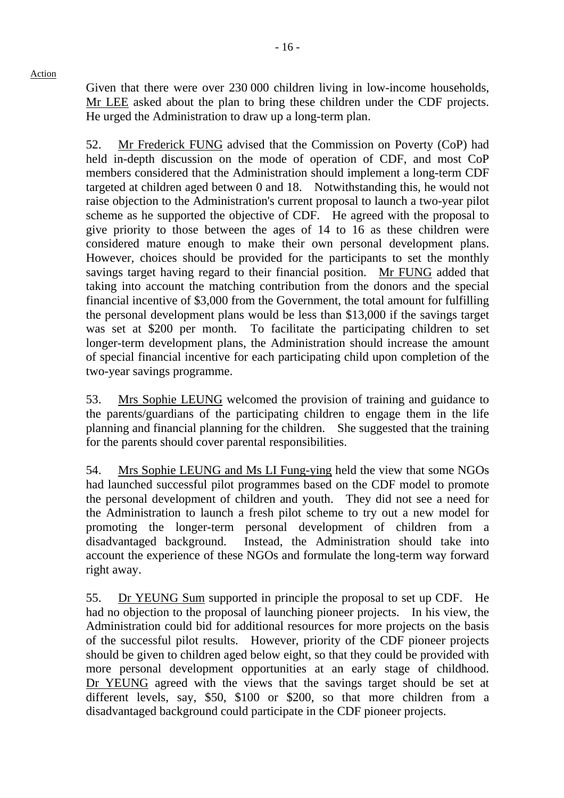Given that there were over 230,000 children living in low-income households, Mr LEE asked about the plan to bring these children under the CDF projects. He urged the Administration to draw up a long-term plan.

52. Mr Frederick FUNG advised that the Commission on Poverty (CoP) had held in-depth discussion on the mode of operation of CDF, and most CoP members considered that the Administration should implement a long-term CDF targeted at children aged between 0 and 18. Notwithstanding this, he would not raise objection to the Administration's current proposal to launch a two-year pilot scheme as he supported the objective of CDF. He agreed with the proposal to give priority to those between the ages of 14 to 16 as these children were considered mature enough to make their own personal development plans. However, choices should be provided for the participants to set the monthly savings target having regard to their financial position. Mr FUNG added that taking into account the matching contribution from the donors and the special financial incentive of \$3,000 from the Government, the total amount for fulfilling the personal development plans would be less than \$13,000 if the savings target was set at \$200 per month. To facilitate the participating children to set longer-term development plans, the Administration should increase the amount of special financial incentive for each participating child upon completion of the two-year savings programme.

53. Mrs Sophie LEUNG welcomed the provision of training and guidance to the parents/guardians of the participating children to engage them in the life planning and financial planning for the children. She suggested that the training for the parents should cover parental responsibilities.

54. Mrs Sophie LEUNG and Ms LI Fung-ying held the view that some NGOs had launched successful pilot programmes based on the CDF model to promote the personal development of children and youth. They did not see a need for the Administration to launch a fresh pilot scheme to try out a new model for promoting the longer-term personal development of children from a disadvantaged background. Instead, the Administration should take into account the experience of these NGOs and formulate the long-term way forward right away.

55. Dr YEUNG Sum supported in principle the proposal to set up CDF. He had no objection to the proposal of launching pioneer projects. In his view, the Administration could bid for additional resources for more projects on the basis of the successful pilot results. However, priority of the CDF pioneer projects should be given to children aged below eight, so that they could be provided with more personal development opportunities at an early stage of childhood. Dr YEUNG agreed with the views that the savings target should be set at different levels, say, \$50, \$100 or \$200, so that more children from a disadvantaged background could participate in the CDF pioneer projects.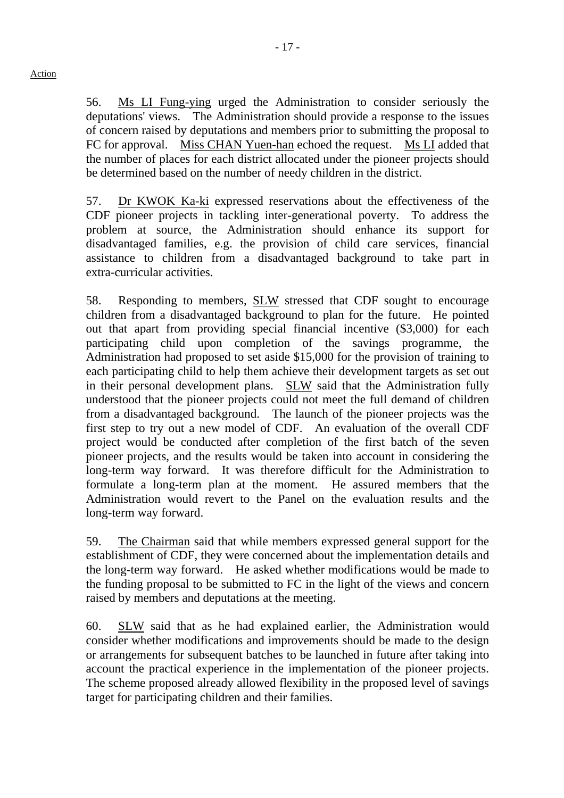56. Ms LI Fung-ying urged the Administration to consider seriously the deputations' views. The Administration should provide a response to the issues of concern raised by deputations and members prior to submitting the proposal to FC for approval. Miss CHAN Yuen-han echoed the request. Ms LI added that the number of places for each district allocated under the pioneer projects should be determined based on the number of needy children in the district.

57. Dr KWOK Ka-ki expressed reservations about the effectiveness of the CDF pioneer projects in tackling inter-generational poverty. To address the problem at source, the Administration should enhance its support for disadvantaged families, e.g. the provision of child care services, financial assistance to children from a disadvantaged background to take part in extra-curricular activities.

58. Responding to members, SLW stressed that CDF sought to encourage children from a disadvantaged background to plan for the future. He pointed out that apart from providing special financial incentive (\$3,000) for each participating child upon completion of the savings programme, Administration had proposed to set aside \$15,000 for the provision of training to each participating child to help them achieve their development targets as set out in their personal development plans. SLW said that the Administration fully understood that the pioneer projects could not meet the full demand of children from a disadvantaged background. The launch of the pioneer projects was the first step to try out a new model of CDF. An evaluation of the overall CDF project would be conducted after completion of the first batch of the seven pioneer projects, and the results would be taken into account in considering the long-term way forward. It was therefore difficult for the Administration to formulate a long-term plan at the moment. He assured members that the Administration would revert to the Panel on the evaluation results and the long-term way forward.

59. The Chairman said that while members expressed general support for the establishment of CDF, they were concerned about the implementation details and the long-term way forward. He asked whether modifications would be made to the funding proposal to be submitted to FC in the light of the views and concern raised by members and deputations at the meeting.

60. SLW said that as he had explained earlier, the Administration would consider whether modifications and improvements should be made to the design or arrangements for subsequent batches to be launched in future after taking into account the practical experience in the implementation of the pioneer projects. The scheme proposed already allowed flexibility in the proposed level of savings target for participating children and their families.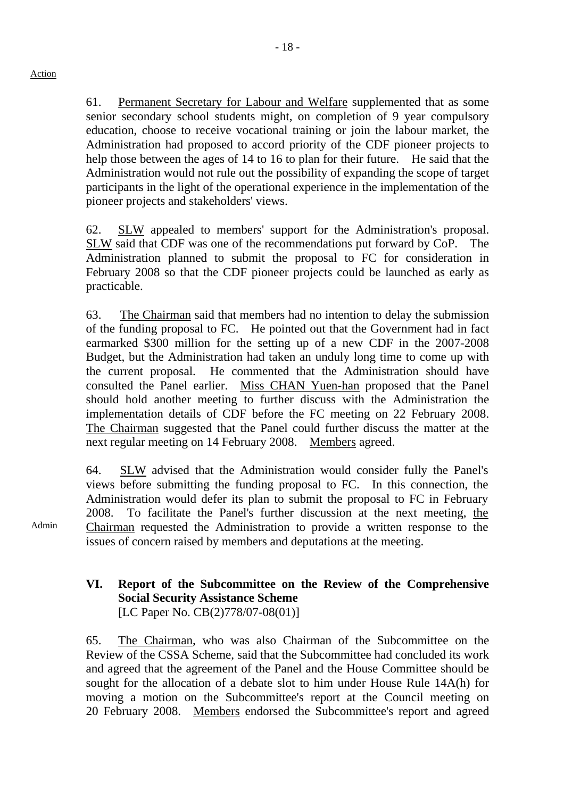61. Permanent Secretary for Labour and Welfare supplemented that as some senior secondary school students might, on completion of 9 year compulsory education, choose to receive vocational training or join the labour market, the Administration had proposed to accord priority of the CDF pioneer projects to help those between the ages of 14 to 16 to plan for their future. He said that the Administration would not rule out the possibility of expanding the scope of target participants in the light of the operational experience in the implementation of the pioneer projects and stakeholders' views.

62. SLW appealed to members' support for the Administration's proposal. SLW said that CDF was one of the recommendations put forward by CoP. The Administration planned to submit the proposal to FC for consideration in February 2008 so that the CDF pioneer projects could be launched as early as practicable.

63. The Chairman said that members had no intention to delay the submission of the funding proposal to FC. He pointed out that the Government had in fact earmarked \$300 million for the setting up of a new CDF in the 2007-2008 Budget, but the Administration had taken an unduly long time to come up with the current proposal. He commented that the Administration should have consulted the Panel earlier. Miss CHAN Yuen-han proposed that the Panel should hold another meeting to further discuss with the Administration the implementation details of CDF before the FC meeting on 22 February 2008. The Chairman suggested that the Panel could further discuss the matter at the next regular meeting on 14 February 2008. Members agreed.

64. SLW advised that the Administration would consider fully the Panel's views before submitting the funding proposal to FC. In this connection, the Administration would defer its plan to submit the proposal to FC in February 2008. To facilitate the Panel's further discussion at the next meeting, the Chairman requested the Administration to provide a written response to the issues of concern raised by members and deputations at the meeting.

# **VI. Report of the Subcommittee on the Review of the Comprehensive Social Security Assistance Scheme**  [LC Paper No. CB(2)778/07-08(01)]

65. The Chairman, who was also Chairman of the Subcommittee on the Review of the CSSA Scheme, said that the Subcommittee had concluded its work and agreed that the agreement of the Panel and the House Committee should be sought for the allocation of a debate slot to him under House Rule 14A(h) for moving a motion on the Subcommittee's report at the Council meeting on 20 February 2008. Members endorsed the Subcommittee's report and agreed

Admin